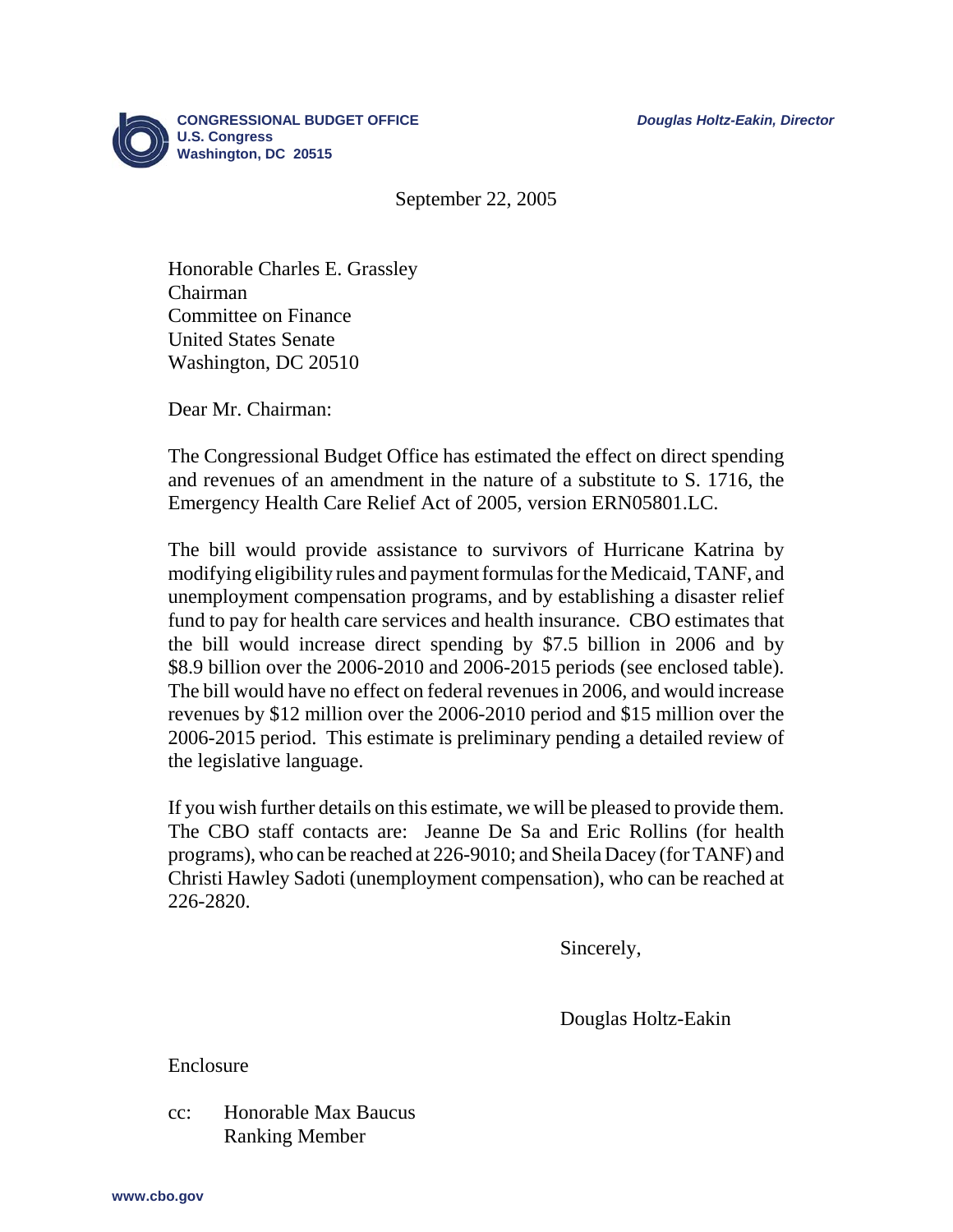

September 22, 2005

Honorable Charles E. Grassley Chairman Committee on Finance United States Senate Washington, DC 20510

Dear Mr. Chairman:

The Congressional Budget Office has estimated the effect on direct spending and revenues of an amendment in the nature of a substitute to S. 1716, the Emergency Health Care Relief Act of 2005, version ERN05801.LC.

The bill would provide assistance to survivors of Hurricane Katrina by modifying eligibility rules and payment formulas for the Medicaid, TANF, and unemployment compensation programs, and by establishing a disaster relief fund to pay for health care services and health insurance. CBO estimates that the bill would increase direct spending by \$7.5 billion in 2006 and by \$8.9 billion over the 2006-2010 and 2006-2015 periods (see enclosed table). The bill would have no effect on federal revenues in 2006, and would increase revenues by \$12 million over the 2006-2010 period and \$15 million over the 2006-2015 period. This estimate is preliminary pending a detailed review of the legislative language.

If you wish further details on this estimate, we will be pleased to provide them. The CBO staff contacts are: Jeanne De Sa and Eric Rollins (for health programs), who can be reached at 226-9010; and Sheila Dacey (for TANF) and Christi Hawley Sadoti (unemployment compensation), who can be reached at 226-2820.

Sincerely,

Douglas Holtz-Eakin

Enclosure

cc: Honorable Max Baucus Ranking Member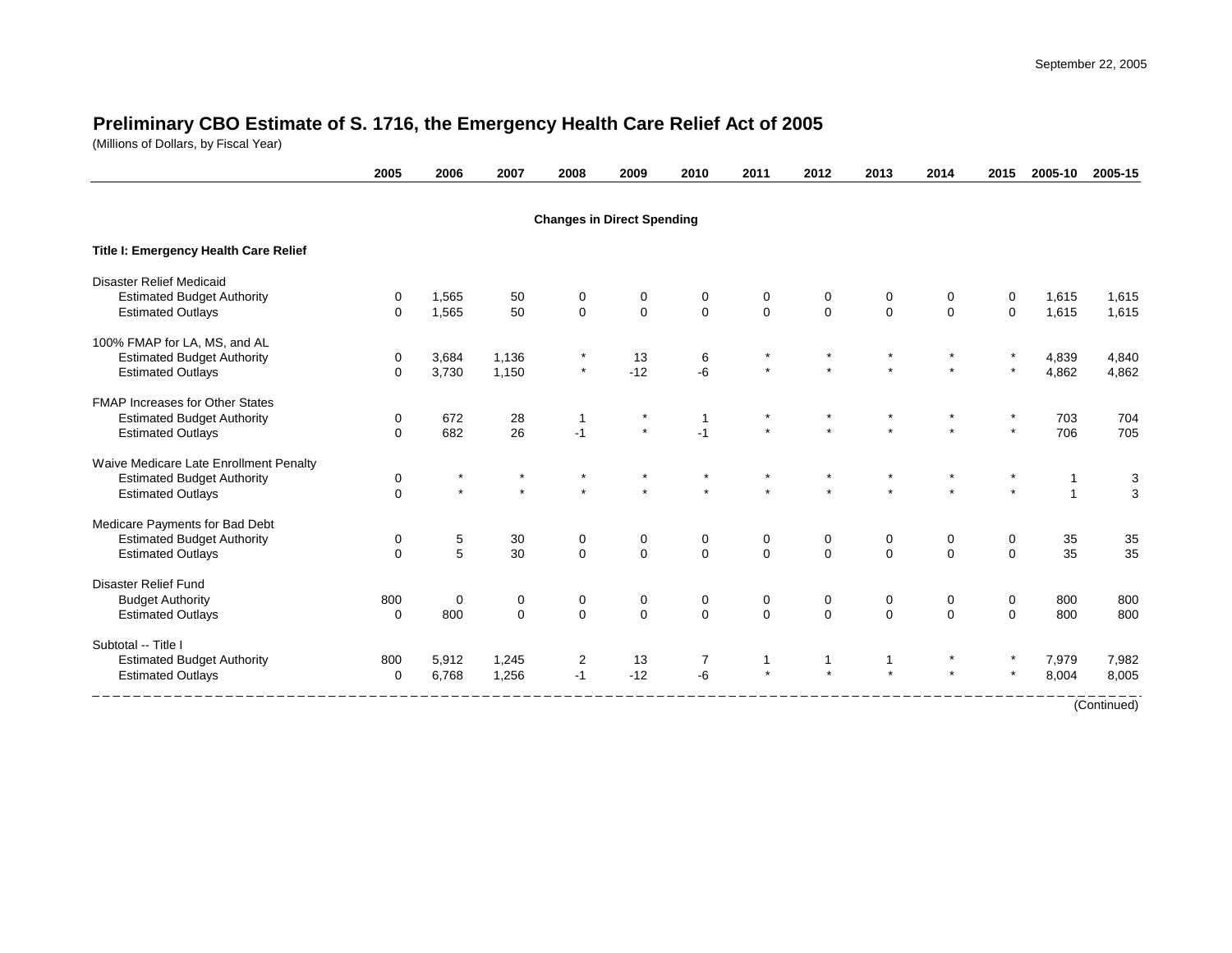## **Preliminary CBO Estimate of S. 1716, the Emergency Health Care Relief Act of 2005**

(Millions of Dollars, by Fiscal Year)

|                                        | 2005        | 2006    | 2007        | 2008                              | 2009           | 2010         | 2011        | 2012           | 2013        | 2014           | 2015     | 2005-10        | 2005-15     |
|----------------------------------------|-------------|---------|-------------|-----------------------------------|----------------|--------------|-------------|----------------|-------------|----------------|----------|----------------|-------------|
|                                        |             |         |             | <b>Changes in Direct Spending</b> |                |              |             |                |             |                |          |                |             |
| Title I: Emergency Health Care Relief  |             |         |             |                                   |                |              |             |                |             |                |          |                |             |
| <b>Disaster Relief Medicaid</b>        |             |         |             |                                   |                |              |             |                |             |                |          |                |             |
| <b>Estimated Budget Authority</b>      | 0           | 1,565   | 50          | 0                                 | 0              | 0            | 0           | 0              | 0           | 0              | 0        | 1,615          | 1,615       |
| <b>Estimated Outlays</b>               | $\Omega$    | 1,565   | 50          | $\mathbf{0}$                      | $\mathbf 0$    | $\mathbf 0$  | $\mathbf 0$ | $\mathbf{0}$   | $\mathbf 0$ | $\Omega$       | $\Omega$ | 1,615          | 1,615       |
| 100% FMAP for LA, MS, and AL           |             |         |             |                                   |                |              |             |                |             |                |          |                |             |
| <b>Estimated Budget Authority</b>      | 0           | 3,684   | 1,136       |                                   | 13             | 6            |             |                |             |                |          | 4,839          | 4,840       |
| <b>Estimated Outlays</b>               | $\Omega$    | 3,730   | 1,150       | $\star$                           | $-12$          | -6           |             |                |             |                |          | 4,862          | 4,862       |
| <b>FMAP Increases for Other States</b> |             |         |             |                                   |                |              |             |                |             |                |          |                |             |
| <b>Estimated Budget Authority</b>      | $\mathbf 0$ | 672     | 28          |                                   | $\star$        | $\mathbf{1}$ |             |                |             |                |          | 703            | 704         |
| <b>Estimated Outlays</b>               | $\mathbf 0$ | 682     | 26          | $-1$                              | $\star$        | $-1$         |             |                |             |                | $\star$  | 706            | 705         |
| Waive Medicare Late Enrollment Penalty |             |         |             |                                   |                |              |             |                |             |                |          |                |             |
| <b>Estimated Budget Authority</b>      | $\pmb{0}$   | $\star$ |             |                                   |                |              |             |                |             |                |          |                | 3           |
| <b>Estimated Outlays</b>               | $\mathbf 0$ | $\star$ | $\star$     |                                   |                |              |             |                |             |                | $\star$  | $\overline{1}$ | 3           |
| Medicare Payments for Bad Debt         |             |         |             |                                   |                |              |             |                |             |                |          |                |             |
| <b>Estimated Budget Authority</b>      | 0           | 5       | 30          | 0                                 | 0              | 0            | 0           | 0              | 0           | 0              | 0        | 35             | $35\,$      |
| <b>Estimated Outlays</b>               | $\Omega$    | 5       | 30          | $\Omega$                          | $\Omega$       | $\Omega$     | $\Omega$    | $\Omega$       | $\Omega$    | $\Omega$       | $\Omega$ | 35             | 35          |
| Disaster Relief Fund                   |             |         |             |                                   |                |              |             |                |             |                |          |                |             |
| <b>Budget Authority</b>                | 800         | 0       | 0           | 0                                 | 0              | 0            | 0           | $\mathbf 0$    | 0           | 0              | 0        | 800            | 800         |
| <b>Estimated Outlays</b>               | $\mathbf 0$ | 800     | $\mathbf 0$ | $\Omega$                          | $\overline{0}$ | $\Omega$     | $\Omega$    | $\overline{0}$ | $\mathbf 0$ | $\overline{0}$ | $\Omega$ | 800            | 800         |
| Subtotal -- Title I                    |             |         |             |                                   |                |              |             |                |             |                |          |                |             |
| <b>Estimated Budget Authority</b>      | 800         | 5,912   | 1,245       | 2                                 | 13             | 7            | 1           | 1              | 1           |                |          | 7,979          | 7,982       |
| <b>Estimated Outlays</b>               | $\mathbf 0$ | 6,768   | 1,256       | $-1$                              | $-12$          | $-6$         |             |                |             |                |          | 8,004          | 8,005       |
|                                        |             |         |             |                                   |                |              |             |                |             |                |          |                | (Continued) |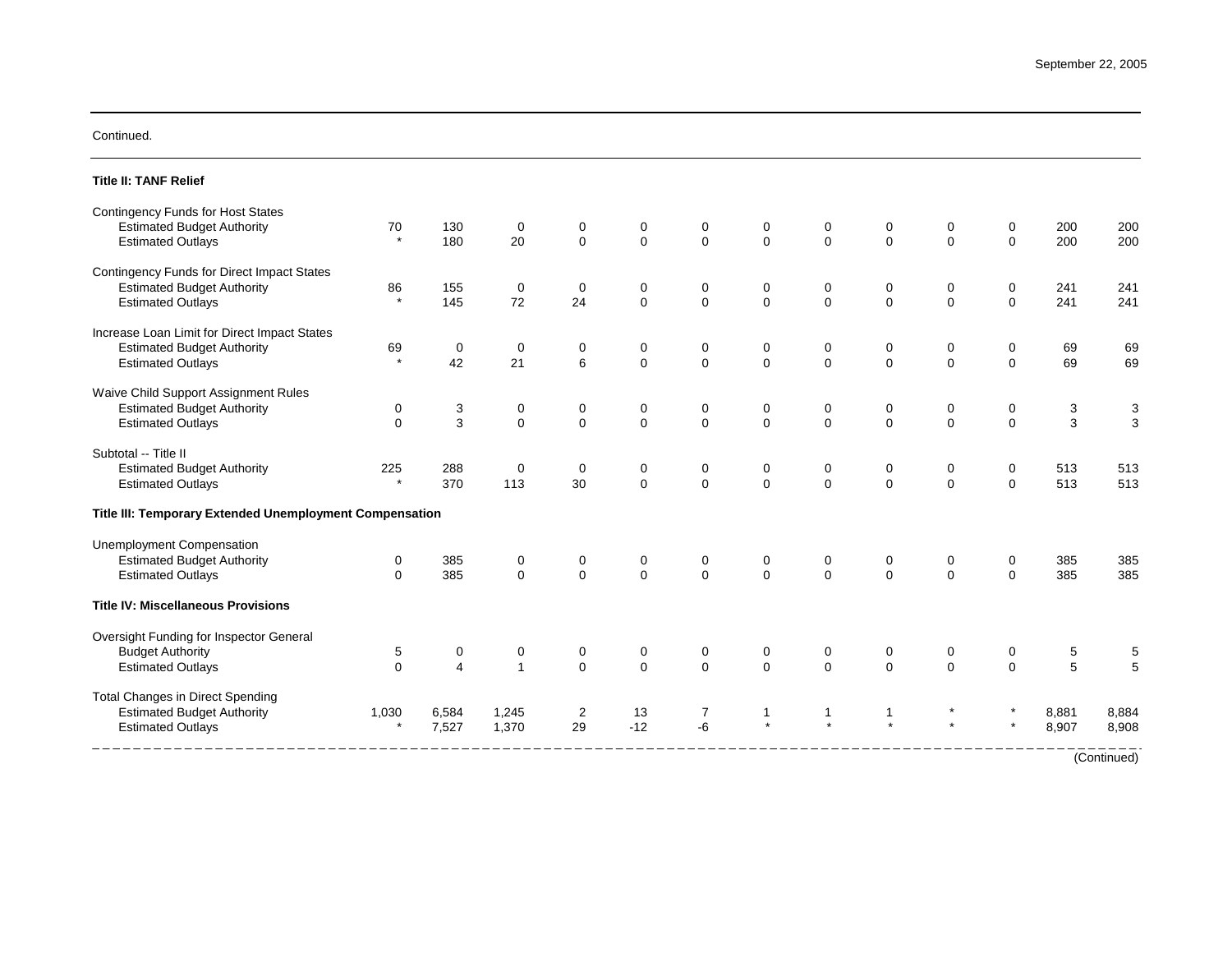## Continued.

| <b>Title II: TANF Relief</b>                            |             |                |              |              |             |             |              |              |             |             |              |       |                |
|---------------------------------------------------------|-------------|----------------|--------------|--------------|-------------|-------------|--------------|--------------|-------------|-------------|--------------|-------|----------------|
| <b>Contingency Funds for Host States</b>                |             |                |              |              |             |             |              |              |             |             |              |       |                |
| <b>Estimated Budget Authority</b>                       | 70          | 130            | 0            | 0            | 0           | 0           | 0            | 0            | 0           | 0           | 0            | 200   | 200            |
| <b>Estimated Outlays</b>                                | $\star$     | 180            | 20           | $\Omega$     | $\mathsf 0$ | $\mathbf 0$ | $\mathbf{0}$ | $\mathbf{0}$ | $\mathbf 0$ | $\Omega$    | $\mathbf 0$  | 200   | 200            |
| Contingency Funds for Direct Impact States              |             |                |              |              |             |             |              |              |             |             |              |       |                |
| <b>Estimated Budget Authority</b>                       | 86          | 155            | $\mathbf 0$  | 0            | 0           | 0           | 0            | 0            | 0           | 0           | 0            | 241   | 241            |
| <b>Estimated Outlays</b>                                |             | 145            | 72           | 24           | $\Omega$    | $\Omega$    | $\mathbf{0}$ | $\mathbf{0}$ | $\mathbf 0$ | $\Omega$    | $\Omega$     | 241   | 241            |
| Increase Loan Limit for Direct Impact States            |             |                |              |              |             |             |              |              |             |             |              |       |                |
| <b>Estimated Budget Authority</b>                       | 69          | 0              | 0            | 0            | 0           | 0           | 0            | 0            | 0           | 0           | 0            | 69    | 69             |
| <b>Estimated Outlays</b>                                | $\star$     | 42             | 21           | 6            | $\mathbf 0$ | $\mathbf 0$ | $\Omega$     | 0            | $\mathbf 0$ | $\mathbf 0$ | $\mathbf 0$  | 69    | 69             |
| Waive Child Support Assignment Rules                    |             |                |              |              |             |             |              |              |             |             |              |       |                |
| <b>Estimated Budget Authority</b>                       | 0           | 3              | 0            | 0            | 0           | 0           | 0            | 0            | 0           | 0           | 0            | 3     | 3              |
| <b>Estimated Outlays</b>                                | $\Omega$    | $\mathbf{3}$   | $\mathbf 0$  | $\Omega$     | $\Omega$    | $\Omega$    | $\Omega$     | $\mathbf{0}$ | $\Omega$    | $\Omega$    | $\mathbf 0$  | 3     | $\overline{3}$ |
| Subtotal -- Title II                                    |             |                |              |              |             |             |              |              |             |             |              |       |                |
| <b>Estimated Budget Authority</b>                       | 225         | 288            | $\mathbf 0$  | $\Omega$     | $\mathbf 0$ | 0           | 0            | 0            | 0           | 0           | 0            | 513   | 513            |
| <b>Estimated Outlays</b>                                | $\star$     | 370            | 113          | 30           | $\mathbf 0$ | $\mathbf 0$ | $\mathbf 0$  | $\mathbf 0$  | $\mathbf 0$ | $\Omega$    | $\Omega$     | 513   | 513            |
| Title III: Temporary Extended Unemployment Compensation |             |                |              |              |             |             |              |              |             |             |              |       |                |
| <b>Unemployment Compensation</b>                        |             |                |              |              |             |             |              |              |             |             |              |       |                |
| <b>Estimated Budget Authority</b>                       | 0           | 385            | 0            | 0            | 0           | 0           | 0            | 0            | 0           | 0           | 0            | 385   | 385            |
| <b>Estimated Outlays</b>                                | $\mathbf 0$ | 385            | $\mathbf 0$  | $\mathbf{0}$ | $\mathbf 0$ | $\Omega$    | $\Omega$     | $\mathbf{0}$ | $\mathbf 0$ | $\Omega$    | $\Omega$     | 385   | 385            |
| <b>Title IV: Miscellaneous Provisions</b>               |             |                |              |              |             |             |              |              |             |             |              |       |                |
| Oversight Funding for Inspector General                 |             |                |              |              |             |             |              |              |             |             |              |       |                |
| <b>Budget Authority</b>                                 | 5           | 0              | 0            | 0            | 0           | 0           | 0            | 0            | 0           | 0           | 0            | 5     | 5              |
| <b>Estimated Outlays</b>                                | $\Omega$    | $\overline{4}$ | $\mathbf{1}$ | $\Omega$     | $\Omega$    | $\Omega$    | $\Omega$     | $\mathbf{0}$ | $\mathbf 0$ | $\Omega$    | $\mathbf{0}$ | 5     | 5              |
| <b>Total Changes in Direct Spending</b>                 |             |                |              |              |             |             |              |              |             |             |              |       |                |
| <b>Estimated Budget Authority</b>                       | 1,030       | 6,584          | 1,245        | 2            | 13          | 7           |              | 1            |             |             |              | 8,881 | 8,884          |
| <b>Estimated Outlays</b>                                |             | 7,527          | 1,370        | 29           | $-12$       | $-6$        |              |              |             |             |              | 8,907 | 8,908          |
|                                                         |             |                |              |              |             |             |              |              |             |             |              |       | (Continued)    |